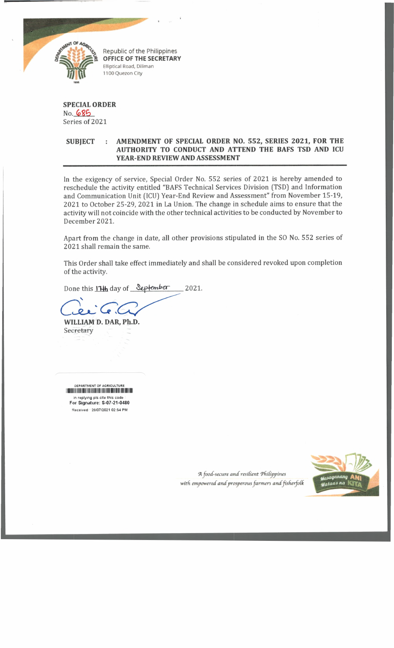

**Republic of the Philippines** *\* **OFFICE OF THE SECRETARY SECRETAR Elliptical Road, Diliman 1100 Quezon City**

## **SPECIAL ORDER** No. 685 Series of 2021

## **SUBJECT : AMENDMENT OF SPECIAL ORDER NO. 552, SERIES 2021, FOR THE AUTHORITY TO CONDUCT AND ATTEND THE BAFS TSD AND ICU YEAR-END REVIEW AND ASSESSMENT**

In the exigency of service, Special Order No. 552 series of 2021 is hereby amended to reschedule the activity entitled "BAFS Technical Services Division (TSD) and Information and Communication Unit (ICU) Year-End Review and Assessment" from November 15-19, 2021 to October 25-29, 2021 in La Union. The change in schedule aims to ensure that the activity will not coincide with the other technical activities to be conducted by November to December 2021.

Apart from the change in date, all other provisions stipulated in the SO No. 552 series of 2021 shall remain the same.

This Order shall take effect immediately and shall be considered revoked upon completion of the activity.

Done this ITHh day of September 2021.

 $\mathcal{P}$ , ( Q

**WILLIAM D. DAR, Ph.D.** Secretary

DEPARTMENT OF AGRICULTURE lllilllllllHIIIIIIIIIIIIIIIIIIIIIIIIIIIINIlllllllllllillll in replying pis cite this code **For Signature: S-07-21-0480** Received 28/07/2021 02:54 PM

> A food-secure and resilient Philippines with empowered and prosperous farmers and fisherfolk

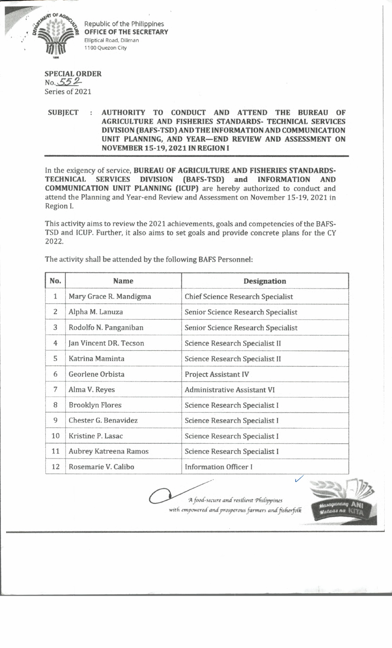

Republic of the Philippines **OFFICE OF THE SECRETARY** Elliptical Road, Diliman 1100 Quezon City

## **SPECIAL ORDER** *No.* 552 Series of 2021

## **SUBJECT : AUTHORITY TO CONDUCT AND ATTEND THE BUREAU OF AGRICULTURE AND FISHERIES STANDARDS- TECHNICAL SERVICES DIVISION (BAFS-TSD) AND THE INFORMATION AND COMMUNICATION UNIT PLANNING, AND YEAR—END REVIEW AND ASSESSMENT ON NOVEMBER 15-19,2021 IN REGION I**

In the exigency of service, **BUREAU OF AGRICULTURE AND FISHERIES STANDARDS-TECHNICAL SERVICES DIVISION (BAFS-TSD) and INFORMATION AND COMMUNICATION UNIT PLANNING (ICUP)** are hereby authorized to conduct and attend the Planning and Year-end Review and Assessment on November 15-19, 2021 in Region I.

This activity aims to review the 2021 achievements, goals and competencies of the BAFS-TSD and ICUP. Further, it also aims to set goals and provide concrete plans for the CY 2022**.**

| No.            | <b>Name</b>            | Designation                              |
|----------------|------------------------|------------------------------------------|
| $\mathbf{1}$   | Mary Grace R. Mandigma | <b>Chief Science Research Specialist</b> |
| $\overline{2}$ | Alpha M. Lanuza        | Senior Science Research Specialist       |
| 3              | Rodolfo N. Panganiban  | Senior Science Research Specialist       |
| 4              | Jan Vincent DR. Tecson | Science Research Specialist II           |
| 5              | Katrina Maminta        | Science Research Specialist II           |
| 6              | Georlene Orbista       | <b>Project Assistant IV</b>              |
| 7              | Alma V. Reyes          | <b>Administrative Assistant VI</b>       |
| 8              | <b>Brooklyn Flores</b> | Science Research Specialist I            |
| 9              | Chester G. Benavidez   | Science Research Specialist I            |
| 10             | Kristine P. Lasac      | Science Research Specialist I            |
| 11             | Aubrey Katreena Ramos  | Science Research Specialist I            |
| 12             | Rosemarie V. Calibo    | Information Officer I                    |

The activity shall be attended by the following BAFS Personnel:

A food-secure and resilient Philippines with empowered and prosperous farmers and fisherfolk